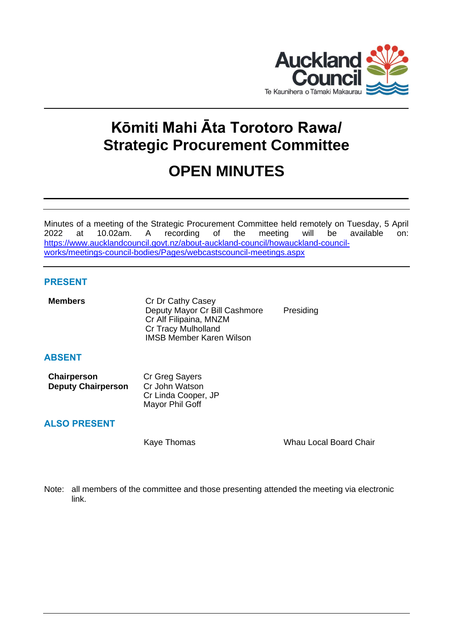

# **Kōmiti Mahi Āta Torotoro Rawa/ Strategic Procurement Committee**

# **OPEN MINUTES**

Minutes of a meeting of the Strategic Procurement Committee held remotely on Tuesday, 5 April 2022 at 10.02am. A recording of the meeting will be available on: [https://www.aucklandcouncil.govt.nz/about-auckland-council/howauckland-council](https://www.aucklandcouncil.govt.nz/about-auckland-council/howauckland-council-works/meetings-council-bodies/Pages/webcastscouncil-meetings.aspx)[works/meetings-council-bodies/Pages/webcastscouncil-meetings.aspx](https://www.aucklandcouncil.govt.nz/about-auckland-council/howauckland-council-works/meetings-council-bodies/Pages/webcastscouncil-meetings.aspx)

# **PRESENT**

| <b>Members</b> | Cr Dr Cathy Casey<br>Deputy Mayor Cr Bill Cashmore<br>Cr Alf Filipaina, MNZM<br><b>Cr Tracy Mulholland</b><br><b>IMSB Member Karen Wilson</b> | Presiding |
|----------------|-----------------------------------------------------------------------------------------------------------------------------------------------|-----------|
| <b>ABSENT</b>  |                                                                                                                                               |           |

| <b>Chairperson</b>        | Cr Greg Sayers      |
|---------------------------|---------------------|
| <b>Deputy Chairperson</b> | Cr John Watson      |
|                           | Cr Linda Cooper, JP |
|                           | Mayor Phil Goff     |

# **ALSO PRESENT**

Kaye Thomas Whau Local Board Chair

Note: all members of the committee and those presenting attended the meeting via electronic link.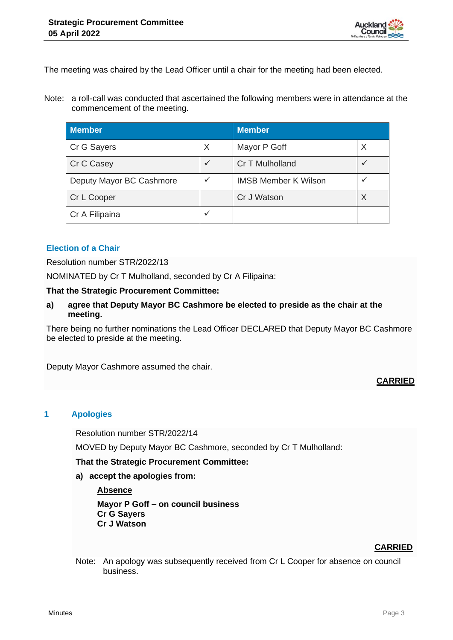

The meeting was chaired by the Lead Officer until a chair for the meeting had been elected.

Note: a roll-call was conducted that ascertained the following members were in attendance at the commencement of the meeting.

| <b>Member</b>            |              | <b>Member</b>               |   |
|--------------------------|--------------|-----------------------------|---|
| Cr G Sayers              | X            | Mayor P Goff                | X |
| Cr C Casey               | $\checkmark$ | Cr T Mulholland             |   |
| Deputy Mayor BC Cashmore | ✓            | <b>IMSB Member K Wilson</b> |   |
| Cr L Cooper              |              | Cr J Watson                 |   |
| Cr A Filipaina           | ✓            |                             |   |

# **Election of a Chair**

Resolution number STR/2022/13

NOMINATED by Cr T Mulholland, seconded by Cr A Filipaina:

#### **That the Strategic Procurement Committee:**

**a) agree that Deputy Mayor BC Cashmore be elected to preside as the chair at the meeting.**

There being no further nominations the Lead Officer DECLARED that Deputy Mayor BC Cashmore be elected to preside at the meeting.

Deputy Mayor Cashmore assumed the chair.

# **CARRIED**

# **1 Apologies**

Resolution number STR/2022/14

MOVED by Deputy Mayor BC Cashmore, seconded by Cr T Mulholland:

**That the Strategic Procurement Committee:**

**a) accept the apologies from:**

#### **Absence**

**Mayor P Goff – on council business Cr G Sayers Cr J Watson**

# **CARRIED**

Note: An apology was subsequently received from Cr L Cooper for absence on council business.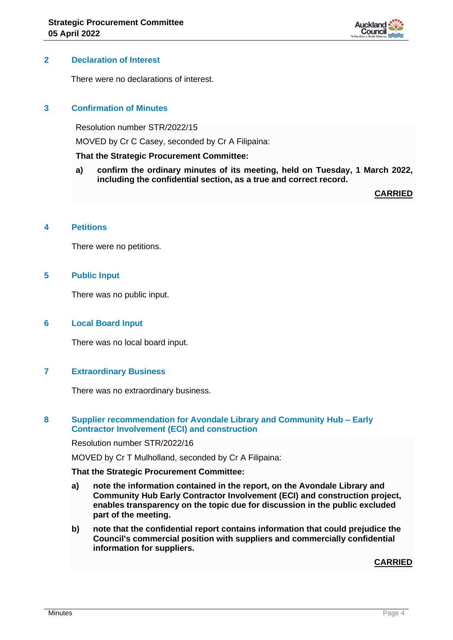

#### **2 Declaration of Interest**

There were no declarations of interest.

# **3 Confirmation of Minutes**

Resolution number STR/2022/15

MOVED by Cr C Casey, seconded by Cr A Filipaina:

#### **That the Strategic Procurement Committee:**

**a) confirm the ordinary minutes of its meeting, held on Tuesday, 1 March 2022, including the confidential section, as a true and correct record.**

**CARRIED**

#### **4 Petitions**

There were no petitions.

#### **5 Public Input**

There was no public input.

#### **6 Local Board Input**

There was no local board input.

#### **7 Extraordinary Business**

There was no extraordinary business.

# **8 Supplier recommendation for Avondale Library and Community Hub – Early Contractor Involvement (ECI) and construction**

Resolution number STR/2022/16

MOVED by Cr T Mulholland, seconded by Cr A Filipaina:

#### **That the Strategic Procurement Committee:**

- **a) note the information contained in the report, on the Avondale Library and Community Hub Early Contractor Involvement (ECI) and construction project, enables transparency on the topic due for discussion in the public excluded part of the meeting.**
- **b) note that the confidential report contains information that could prejudice the Council's commercial position with suppliers and commercially confidential information for suppliers.**

#### **CARRIED**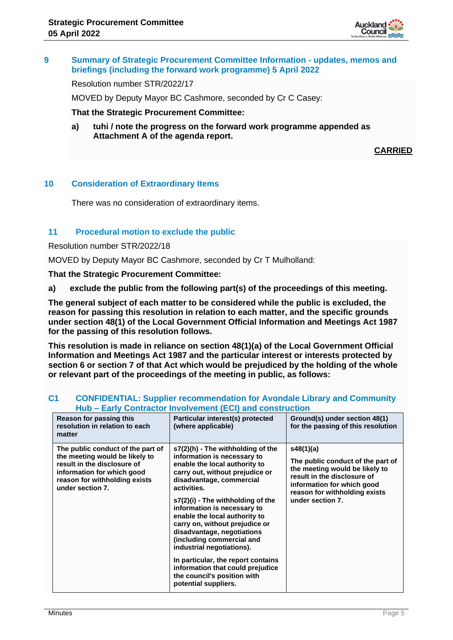

# **9 Summary of Strategic Procurement Committee Information - updates, memos and briefings (including the forward work programme) 5 April 2022**

Resolution number STR/2022/17

MOVED by Deputy Mayor BC Cashmore, seconded by Cr C Casey:

**That the Strategic Procurement Committee:**

**a) tuhi / note the progress on the forward work programme appended as Attachment A of the agenda report.**

**CARRIED**

# **10 Consideration of Extraordinary Items**

There was no consideration of extraordinary items.

# **11 Procedural motion to exclude the public**

Resolution number STR/2022/18

MOVED by Deputy Mayor BC Cashmore, seconded by Cr T Mulholland:

**That the Strategic Procurement Committee:**

**a) exclude the public from the following part(s) of the proceedings of this meeting.**

**The general subject of each matter to be considered while the public is excluded, the reason for passing this resolution in relation to each matter, and the specific grounds under section 48(1) of the Local Government Official Information and Meetings Act 1987 for the passing of this resolution follows.**

**This resolution is made in reliance on section 48(1)(a) of the Local Government Official Information and Meetings Act 1987 and the particular interest or interests protected by section 6 or section 7 of that Act which would be prejudiced by the holding of the whole or relevant part of the proceedings of the meeting in public, as follows:**

| Hub – Early Contractor Involvement (ECI) and construction                                                                                                                             |                                                                                                                                                                                                                                                                                                                                                                                                                                                                                                                                                 |                                                                                                                                                                                                    |
|---------------------------------------------------------------------------------------------------------------------------------------------------------------------------------------|-------------------------------------------------------------------------------------------------------------------------------------------------------------------------------------------------------------------------------------------------------------------------------------------------------------------------------------------------------------------------------------------------------------------------------------------------------------------------------------------------------------------------------------------------|----------------------------------------------------------------------------------------------------------------------------------------------------------------------------------------------------|
| Reason for passing this<br>resolution in relation to each<br>matter                                                                                                                   | Particular interest(s) protected<br>(where applicable)                                                                                                                                                                                                                                                                                                                                                                                                                                                                                          | Ground(s) under section 48(1)<br>for the passing of this resolution                                                                                                                                |
| The public conduct of the part of<br>the meeting would be likely to<br>result in the disclosure of<br>information for which good<br>reason for withholding exists<br>under section 7. | s7(2)(h) - The withholding of the<br>information is necessary to<br>enable the local authority to<br>carry out, without prejudice or<br>disadvantage, commercial<br>activities.<br>s7(2)(i) - The withholding of the<br>information is necessary to<br>enable the local authority to<br>carry on, without prejudice or<br>disadvantage, negotiations<br>(including commercial and<br>industrial negotiations).<br>In particular, the report contains<br>information that could prejudice<br>the council's position with<br>potential suppliers. | s48(1)(a)<br>The public conduct of the part of<br>the meeting would be likely to<br>result in the disclosure of<br>information for which good<br>reason for withholding exists<br>under section 7. |
|                                                                                                                                                                                       |                                                                                                                                                                                                                                                                                                                                                                                                                                                                                                                                                 |                                                                                                                                                                                                    |

#### **C1 CONFIDENTIAL: Supplier recommendation for Avondale Library and Community Hub – Early Contractor Involvement (ECI) and construction**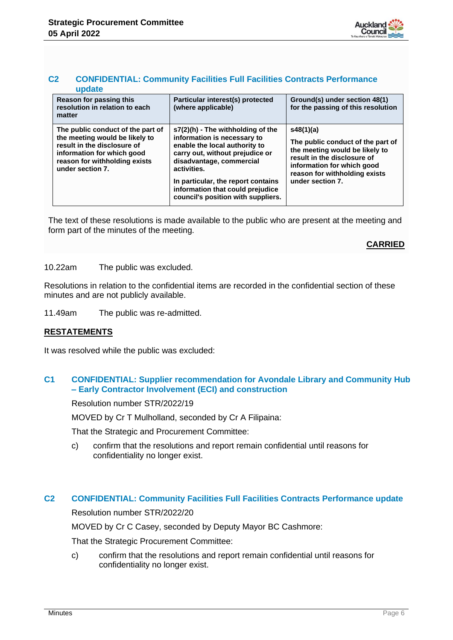

#### **C2 CONFIDENTIAL: Community Facilities Full Facilities Contracts Performance update**

| Reason for passing this<br>resolution in relation to each<br>matter                                                                                                                   | Particular interest(s) protected<br>(where applicable)                                                                                                                                                                                                                                            | Ground(s) under section 48(1)<br>for the passing of this resolution                                                                                                                                |
|---------------------------------------------------------------------------------------------------------------------------------------------------------------------------------------|---------------------------------------------------------------------------------------------------------------------------------------------------------------------------------------------------------------------------------------------------------------------------------------------------|----------------------------------------------------------------------------------------------------------------------------------------------------------------------------------------------------|
| The public conduct of the part of<br>the meeting would be likely to<br>result in the disclosure of<br>information for which good<br>reason for withholding exists<br>under section 7. | $s7(2)(h)$ - The withholding of the<br>information is necessary to<br>enable the local authority to<br>carry out, without prejudice or<br>disadvantage, commercial<br>activities.<br>In particular, the report contains<br>information that could prejudice<br>council's position with suppliers. | s48(1)(a)<br>The public conduct of the part of<br>the meeting would be likely to<br>result in the disclosure of<br>information for which good<br>reason for withholding exists<br>under section 7. |

The text of these resolutions is made available to the public who are present at the meeting and form part of the minutes of the meeting.

# **CARRIED**

#### 10.22am The public was excluded.

Resolutions in relation to the confidential items are recorded in the confidential section of these minutes and are not publicly available.

11.49am The public was re-admitted.

# **RESTATEMENTS**

It was resolved while the public was excluded:

# **C1 CONFIDENTIAL: Supplier recommendation for Avondale Library and Community Hub – Early Contractor Involvement (ECI) and construction**

Resolution number STR/2022/19

MOVED by Cr T Mulholland, seconded by Cr A Filipaina:

That the Strategic and Procurement Committee:

c) confirm that the resolutions and report remain confidential until reasons for confidentiality no longer exist.

# **C2 CONFIDENTIAL: Community Facilities Full Facilities Contracts Performance update**

Resolution number STR/2022/20

MOVED by Cr C Casey, seconded by Deputy Mayor BC Cashmore:

That the Strategic Procurement Committee:

c) confirm that the resolutions and report remain confidential until reasons for confidentiality no longer exist.